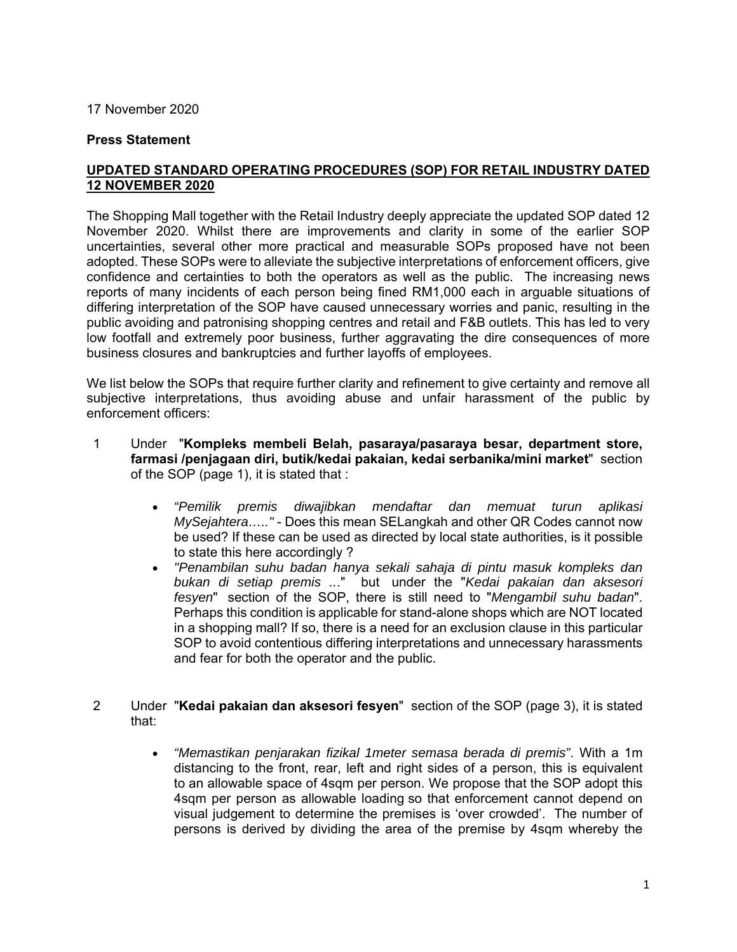## 17 November 2020

## **Press Statement**

## **UPDATED STANDARD OPERATING PROCEDURES (SOP) FOR RETAIL INDUSTRY DATED 12 NOVEMBER 2020**

The Shopping Mall together with the Retail Industry deeply appreciate the updated SOP dated 12 November 2020. Whilst there are improvements and clarity in some of the earlier SOP uncertainties, several other more practical and measurable SOPs proposed have not been adopted. These SOPs were to alleviate the subjective interpretations of enforcement officers, give confidence and certainties to both the operators as well as the public. The increasing news reports of many incidents of each person being fined RM1,000 each in arguable situations of differing interpretation of the SOP have caused unnecessary worries and panic, resulting in the public avoiding and patronising shopping centres and retail and F&B outlets. This has led to very low footfall and extremely poor business, further aggravating the dire consequences of more business closures and bankruptcies and further layoffs of employees.

We list below the SOPs that require further clarity and refinement to give certainty and remove all subjective interpretations, thus avoiding abuse and unfair harassment of the public by enforcement officers:

- 1 Under "**Kompleks membeli Belah, pasaraya/pasaraya besar, department store, farmasi /penjagaan diri, butik/kedai pakaian, kedai serbanika/mini market**" section of the SOP (page 1), it is stated that :
	- *"Pemilik premis diwajibkan mendaftar dan memuat turun aplikasi MySejahtera….."* - Does this mean SELangkah and other QR Codes cannot now be used? If these can be used as directed by local state authorities, is it possible to state this here accordingly ?
	- *"Penambilan suhu badan hanya sekali sahaja di pintu masuk kompleks dan bukan di setiap premis ..*." but under the "*Kedai pakaian dan aksesori fesyen*" section of the SOP, there is still need to "*Mengambil suhu badan*". Perhaps this condition is applicable for stand-alone shops which are NOT located in a shopping mall? If so, there is a need for an exclusion clause in this particular SOP to avoid contentious differing interpretations and unnecessary harassments and fear for both the operator and the public.
- 2 Under "**Kedai pakaian dan aksesori fesyen**" section of the SOP (page 3), it is stated that:
	- *"Memastikan penjarakan fizikal 1meter semasa berada di premis"*. With a 1m distancing to the front, rear, left and right sides of a person, this is equivalent to an allowable space of 4sqm per person. We propose that the SOP adopt this 4sqm per person as allowable loading so that enforcement cannot depend on visual judgement to determine the premises is 'over crowded'. The number of persons is derived by dividing the area of the premise by 4sqm whereby the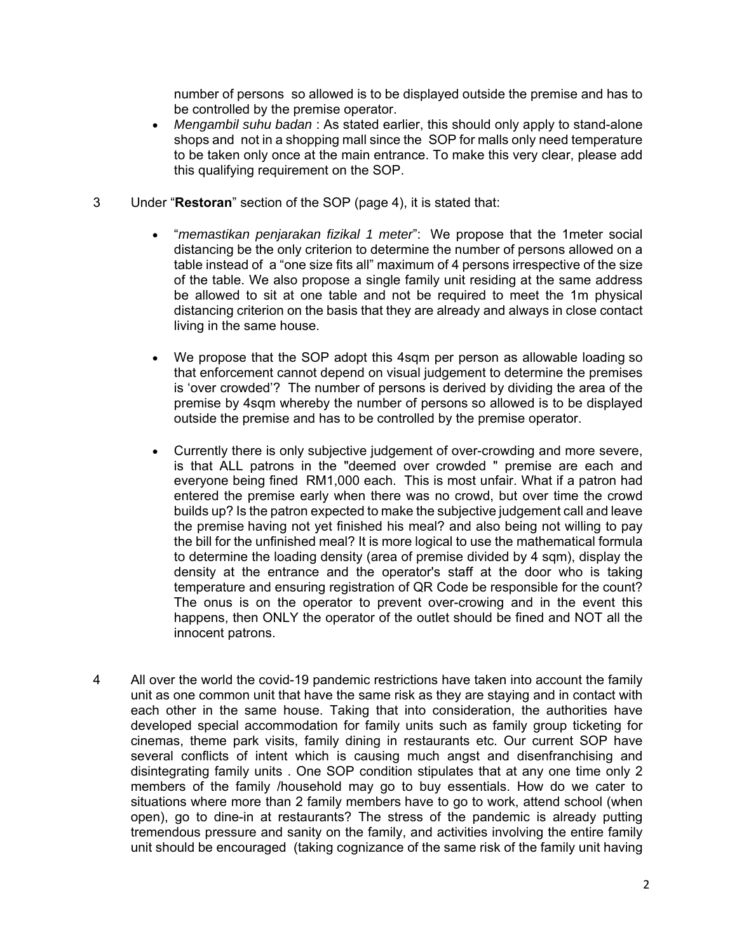number of persons so allowed is to be displayed outside the premise and has to be controlled by the premise operator.

- *Mengambil suhu badan* : As stated earlier, this should only apply to stand-alone shops and not in a shopping mall since the SOP for malls only need temperature to be taken only once at the main entrance. To make this very clear, please add this qualifying requirement on the SOP.
- 3 Under "**Restoran**" section of the SOP (page 4), it is stated that:
	- "*memastikan penjarakan fizikal 1 meter*": We propose that the 1meter social distancing be the only criterion to determine the number of persons allowed on a table instead of a "one size fits all" maximum of 4 persons irrespective of the size of the table. We also propose a single family unit residing at the same address be allowed to sit at one table and not be required to meet the 1m physical distancing criterion on the basis that they are already and always in close contact living in the same house.
	- We propose that the SOP adopt this 4sqm per person as allowable loading so that enforcement cannot depend on visual judgement to determine the premises is 'over crowded'? The number of persons is derived by dividing the area of the premise by 4sqm whereby the number of persons so allowed is to be displayed outside the premise and has to be controlled by the premise operator.
	- Currently there is only subjective judgement of over-crowding and more severe, is that ALL patrons in the "deemed over crowded " premise are each and everyone being fined RM1,000 each. This is most unfair. What if a patron had entered the premise early when there was no crowd, but over time the crowd builds up? Is the patron expected to make the subjective judgement call and leave the premise having not yet finished his meal? and also being not willing to pay the bill for the unfinished meal? It is more logical to use the mathematical formula to determine the loading density (area of premise divided by 4 sqm), display the density at the entrance and the operator's staff at the door who is taking temperature and ensuring registration of QR Code be responsible for the count? The onus is on the operator to prevent over-crowing and in the event this happens, then ONLY the operator of the outlet should be fined and NOT all the innocent patrons.
- 4 All over the world the covid-19 pandemic restrictions have taken into account the family unit as one common unit that have the same risk as they are staying and in contact with each other in the same house. Taking that into consideration, the authorities have developed special accommodation for family units such as family group ticketing for cinemas, theme park visits, family dining in restaurants etc. Our current SOP have several conflicts of intent which is causing much angst and disenfranchising and disintegrating family units . One SOP condition stipulates that at any one time only 2 members of the family /household may go to buy essentials. How do we cater to situations where more than 2 family members have to go to work, attend school (when open), go to dine-in at restaurants? The stress of the pandemic is already putting tremendous pressure and sanity on the family, and activities involving the entire family unit should be encouraged (taking cognizance of the same risk of the family unit having